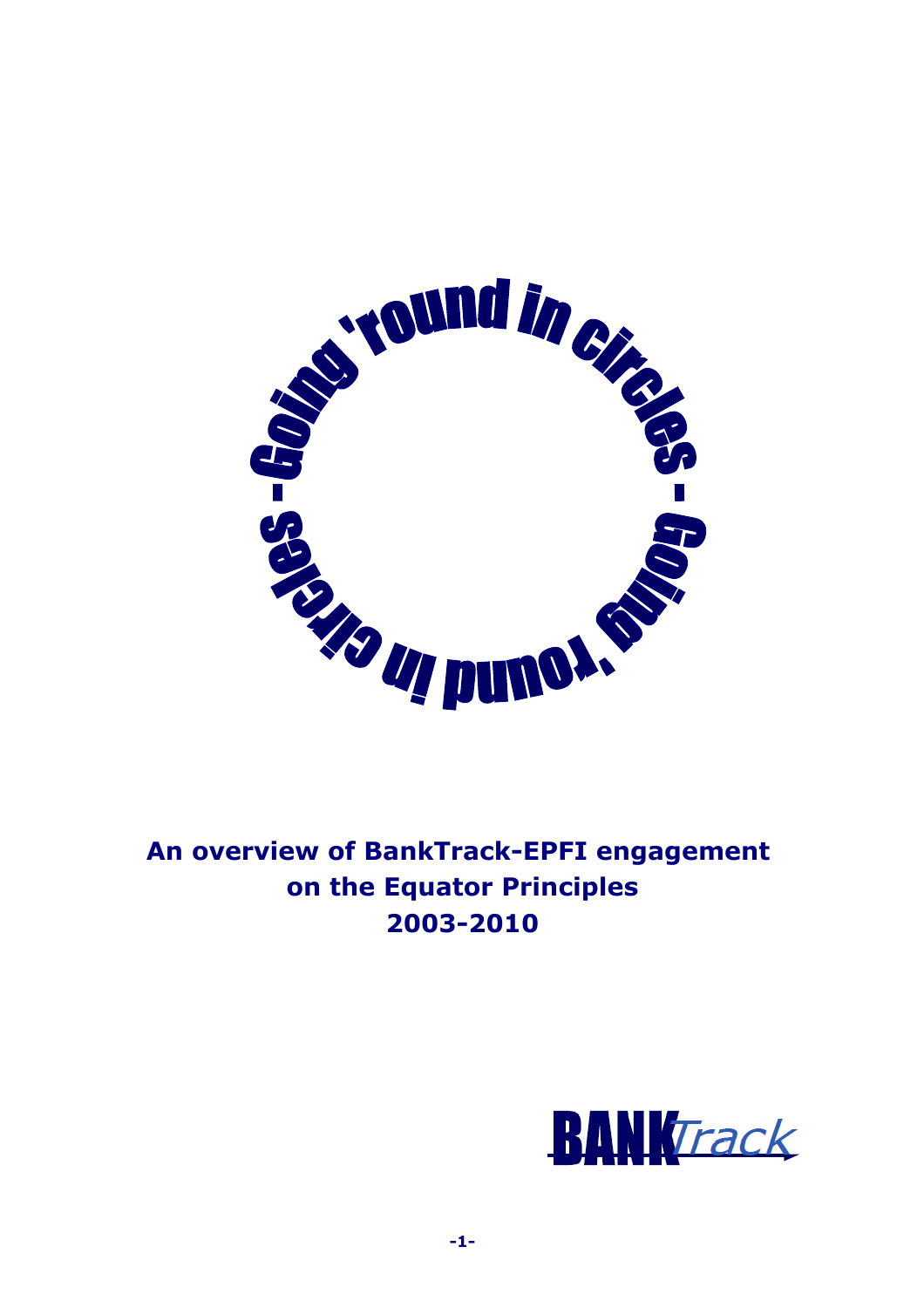

**An overview of BankTrack-EPFI engagement on the Equator Principles 2003-2010**

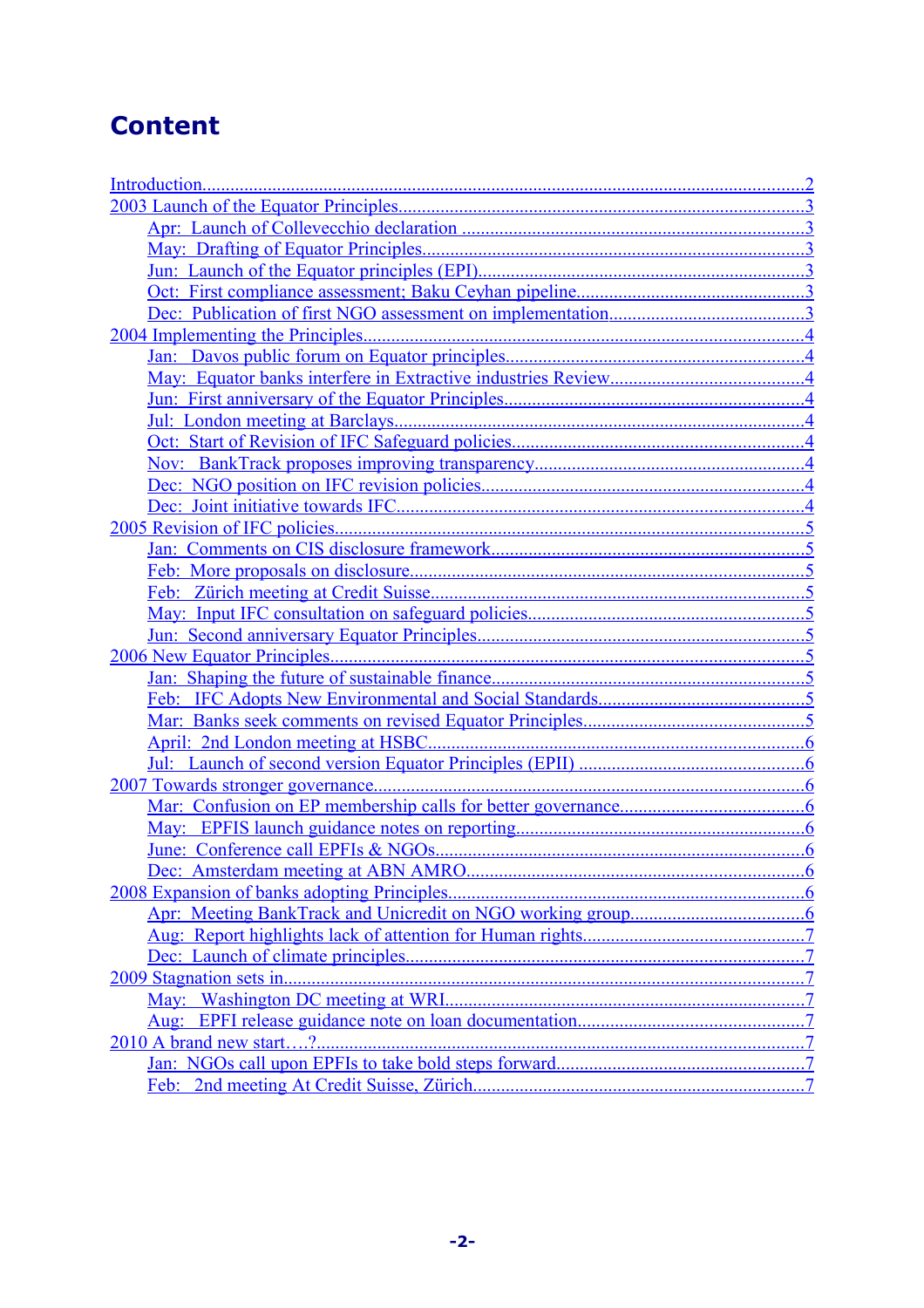# **Content**

|                         | $\cdot$ .7 |
|-------------------------|------------|
|                         |            |
|                         |            |
| 2010 A brand new start? |            |
|                         |            |
|                         |            |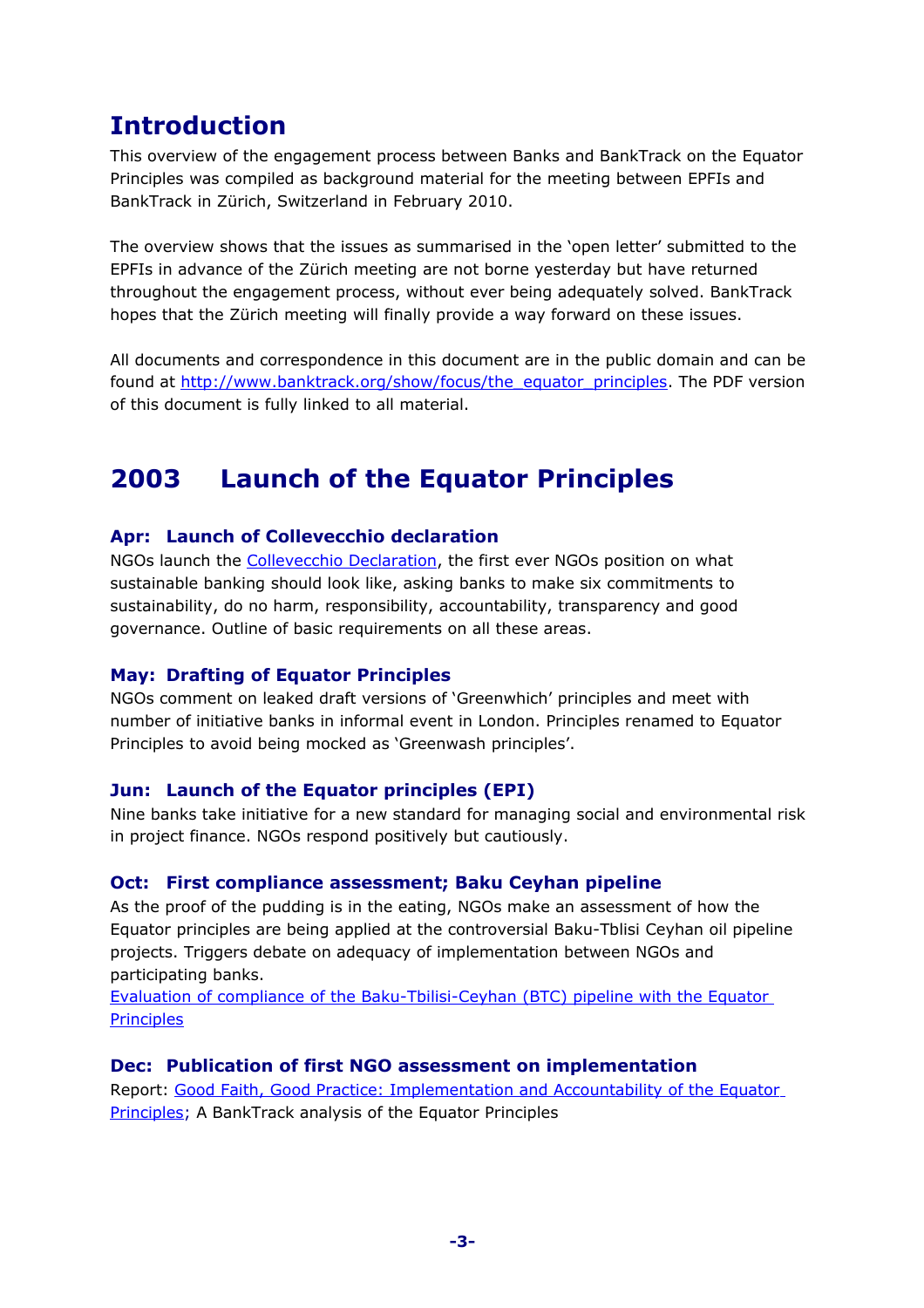# <span id="page-2-6"></span>**Introduction**

This overview of the engagement process between Banks and BankTrack on the Equator Principles was compiled as background material for the meeting between EPFIs and BankTrack in Zürich, Switzerland in February 2010.

The overview shows that the issues as summarised in the 'open letter' submitted to the EPFIs in advance of the Zürich meeting are not borne yesterday but have returned throughout the engagement process, without ever being adequately solved. BankTrack hopes that the Zürich meeting will finally provide a way forward on these issues.

All documents and correspondence in this document are in the public domain and can be found at [http://www.banktrack.org/show/focus/the\\_equator\\_principles.](http://www.banktrack.org/show/focus/the_equator_principles) The PDF version of this document is fully linked to all material.

# <span id="page-2-5"></span>**2003 Launch of the Equator Principles**

### <span id="page-2-4"></span>**Apr: Launch of Collevecchio declaration**

NGOs launch the [Collevecchio Declaration,](http://www.banktrack.org/download/collevechio_declaration) the first ever NGOs position on what sustainable banking should look like, asking banks to make six commitments to sustainability, do no harm, responsibility, accountability, transparency and good governance. Outline of basic requirements on all these areas.

#### <span id="page-2-3"></span>**May: Drafting of Equator Principles**

NGOs comment on leaked draft versions of 'Greenwhich' principles and meet with number of initiative banks in informal event in London. Principles renamed to Equator Principles to avoid being mocked as 'Greenwash principles'.

#### <span id="page-2-2"></span>**Jun: Launch of the Equator principles (EPI)**

Nine banks take initiative for a new standard for managing social and environmental risk in project finance. NGOs respond positively but cautiously.

### <span id="page-2-1"></span>**Oct: First compliance assessment; Baku Ceyhan pipeline**

As the proof of the pudding is in the eating, NGOs make an assessment of how the Equator principles are being applied at the controversial Baku-Tblisi Ceyhan oil pipeline projects. Triggers debate on adequacy of implementation between NGOs and participating banks.

[Evaluation of compliance of the Baku-Tbilisi-Ceyhan \(BTC\) pipeline with the Equator](http://www.banktrack.org/download/evaluation_of_compliance_of_the_bakutbilisi_ceyhan_btc_pipeline_with_the_equator_principles) **[Principles](http://www.banktrack.org/download/evaluation_of_compliance_of_the_bakutbilisi_ceyhan_btc_pipeline_with_the_equator_principles)** 

#### <span id="page-2-0"></span>**Dec: Publication of first NGO assessment on implementation**

Report: [Good Faith, Good Practice: Implementation and Accountability of the Equator](http://www.banktrack.org/download/good_faith_good_practice) [Principles;](http://www.banktrack.org/download/good_faith_good_practice) A BankTrack analysis of the Equator Principles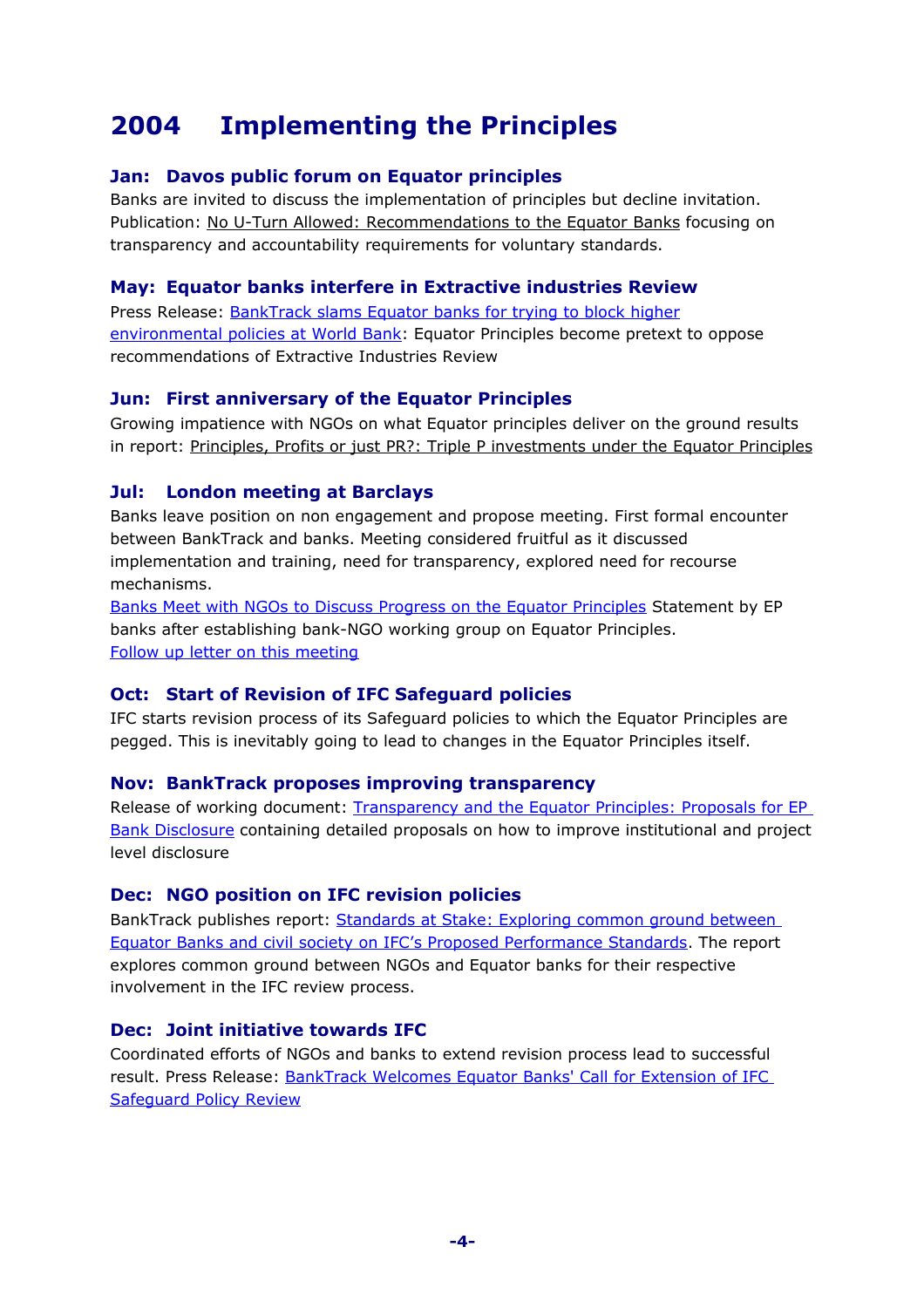# <span id="page-3-8"></span>**2004 Implementing the Principles**

# <span id="page-3-7"></span>**Jan: Davos public forum on Equator principles**

Banks are invited to discuss the implementation of principles but decline invitation. Publication: [No U-Turn Allowed: Recommendations to the Equator Banks](http://www.banktrack.org/download/no_u_turn_allowed) focusing on transparency and accountability requirements for voluntary standards.

# <span id="page-3-6"></span>**May: Equator banks interfere in Extractive industries Review**

Press Release: [BankTrack slams Equator banks for trying to block higher](http://www.banktrack.org/download/banktrack_slams_equator_banks_for_trying_to_block_higher_environmental_policies_at_world_bank) [environmental policies at World Bank:](http://www.banktrack.org/download/banktrack_slams_equator_banks_for_trying_to_block_higher_environmental_policies_at_world_bank) Equator Principles become pretext to oppose recommendations of Extractive Industries Review

# <span id="page-3-5"></span>**Jun: First anniversary of the Equator Principles**

Growing impatience with NGOs on what Equator principles deliver on the ground results in report: [Principles, Profits or just PR?: Triple P investments under the Equator Principles](http://www.banktrack.org/download/principles_profits_or_just_pr_)

### <span id="page-3-4"></span>**Jul: London meeting at Barclays**

Banks leave position on non engagement and propose meeting. First formal encounter between BankTrack and banks. Meeting considered fruitful as it discussed implementation and training, need for transparency, explored need for recourse mechanisms.

[Banks Meet with NGOs to Discuss Progress on the Equator Principles](http://www.banktrack.org/download/pr_ep_banks_on_ngo_bank_working_group) Statement by EP banks after establishing bank-NGO working group on Equator Principles. [Follow up letter on this meeting](http://www.banktrack.org/download/bt_letter_to_ep_banks_on_follow_up_london)

# <span id="page-3-3"></span>**Oct: Start of Revision of IFC Safeguard policies**

IFC starts revision process of its Safeguard policies to which the Equator Principles are pegged. This is inevitably going to lead to changes in the Equator Principles itself.

### <span id="page-3-2"></span>**Nov: BankTrack proposes improving transparency**

Release of working document: [Transparency and the Equator Principles: Proposals for EP](http://www.banktrack.org/download/transparency_for_the_equator_banks) [Bank Disclosure](http://www.banktrack.org/download/transparency_for_the_equator_banks) containing detailed proposals on how to improve institutional and project level disclosure

### <span id="page-3-1"></span>**Dec: NGO position on IFC revision policies**

BankTrack publishes report: [Standards at Stake: Exploring common ground between](http://www.banktrack.org/download/standards_at_stake) [Equator Banks and civil society on IFC's Proposed Performance Standards.](http://www.banktrack.org/download/standards_at_stake) The report explores common ground between NGOs and Equator banks for their respective involvement in the IFC review process.

### <span id="page-3-0"></span>**Dec: Joint initiative towards IFC**

Coordinated efforts of NGOs and banks to extend revision process lead to successful result. Press Release: [BankTrack Welcomes Equator Banks' Call for Extension of IFC](http://www.banktrack.org/download/banktrack_welcomes_equator_banks) [Safeguard Policy Review](http://www.banktrack.org/download/banktrack_welcomes_equator_banks)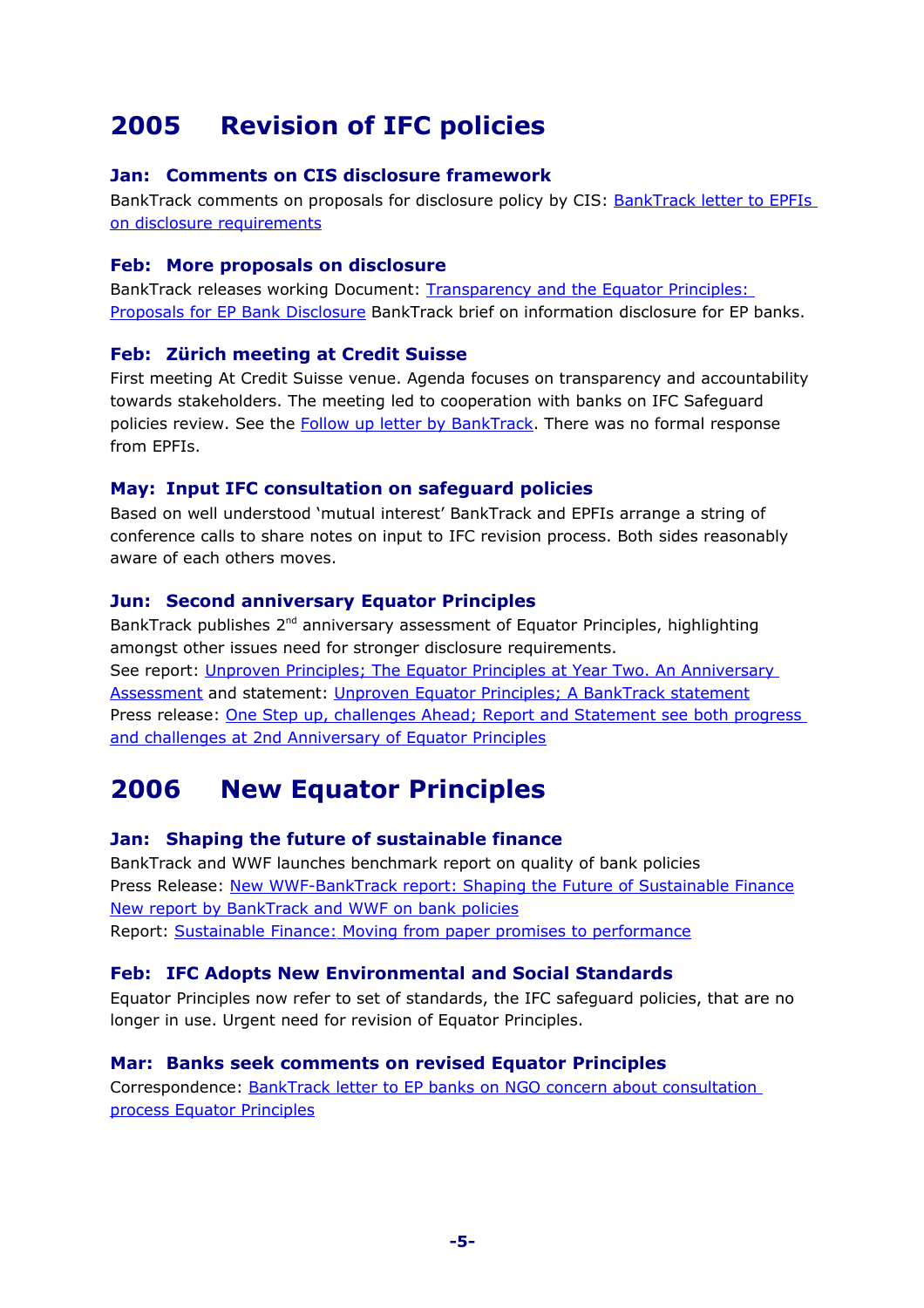# <span id="page-4-9"></span>**2005 Revision of IFC policies**

# <span id="page-4-8"></span>**Jan: Comments on CIS disclosure framework**

BankTrack comments on proposals for disclosure policy by CIS: [BankTrack letter to EPFIs](http://www.banktrack.org/download/letter_to_epfis_on_disclosure) [on disclosure requirements](http://www.banktrack.org/download/letter_to_epfis_on_disclosure)

#### <span id="page-4-7"></span>**Feb: More proposals on disclosure**

BankTrack releases working Document: [Transparency and the Equator Principles:](http://www.banktrack.org/download/information_disclosure_for_ep_banks) [Proposals for EP Bank Disclosure](http://www.banktrack.org/download/information_disclosure_for_ep_banks) BankTrack brief on information disclosure for EP banks.

### <span id="page-4-6"></span>**Feb: Zürich meeting at Credit Suisse**

First meeting At Credit Suisse venue. Agenda focuses on transparency and accountability towards stakeholders. The meeting led to cooperation with banks on IFC Safeguard policies review. See the **Follow up letter by BankTrack**. There was no formal response from EPFIs.

### <span id="page-4-5"></span>**May: Input IFC consultation on safeguard policies**

Based on well understood 'mutual interest' BankTrack and EPFIs arrange a string of conference calls to share notes on input to IFC revision process. Both sides reasonably aware of each others moves.

### <span id="page-4-4"></span>**Jun: Second anniversary Equator Principles**

BankTrack publishes 2<sup>nd</sup> anniversary assessment of Equator Principles, highlighting amongst other issues need for stronger disclosure requirements. See report: [Unproven Principles; The Equator Principles at Year Two. An Anniversary](http://www.banktrack.org/download/unproven_principles_the_equator_principles_at_year_two) [Assessment](http://www.banktrack.org/download/unproven_principles_the_equator_principles_at_year_two) and statement: [Unproven Equator Principles; A BankTrack statement](http://www.banktrack.org/download/unproven_equator_principles_a_banktrack_statement) Press release: [One Step up, challenges Ahead; Report and Statement see both progress](http://www.banktrack.org/show/news/one_step_up_challenges_ahead) [and challenges at 2nd Anniversary of Equator Principles](http://www.banktrack.org/show/news/one_step_up_challenges_ahead)

# <span id="page-4-3"></span>**2006 New Equator Principles**

### <span id="page-4-2"></span>**Jan: Shaping the future of sustainable finance**

BankTrack and WWF launches benchmark report on quality of bank policies Press Release: [New WWF-BankTrack report: Shaping the Future of Sustainable Finance](http://www.banktrack.org/show/news/new_wwf_banktrack_report_shaping_the_future_of_sustainable_finance) [New report by BankTrack and WWF on bank policies](http://www.banktrack.org/show/news/new_wwf_banktrack_report_shaping_the_future_of_sustainable_finance) Report: [Sustainable Finance: Moving from paper promises to performance](http://www.wwf.org.uk/filelibrary/pdf/sustainablefinancereport.pdf)

### <span id="page-4-1"></span>**Feb: IFC Adopts New Environmental and Social Standards**

Equator Principles now refer to set of standards, the IFC safeguard policies, that are no longer in use. Urgent need for revision of Equator Principles.

### <span id="page-4-0"></span>**Mar: Banks seek comments on revised Equator Principles**

Correspondence: [BankTrack letter to EP banks on NGO concern about consultation](http://www.banktrack.org/download/letter_to_ep_banks_on_ngo_concern_about_consultation_process) [process Equator Principles](http://www.banktrack.org/download/letter_to_ep_banks_on_ngo_concern_about_consultation_process)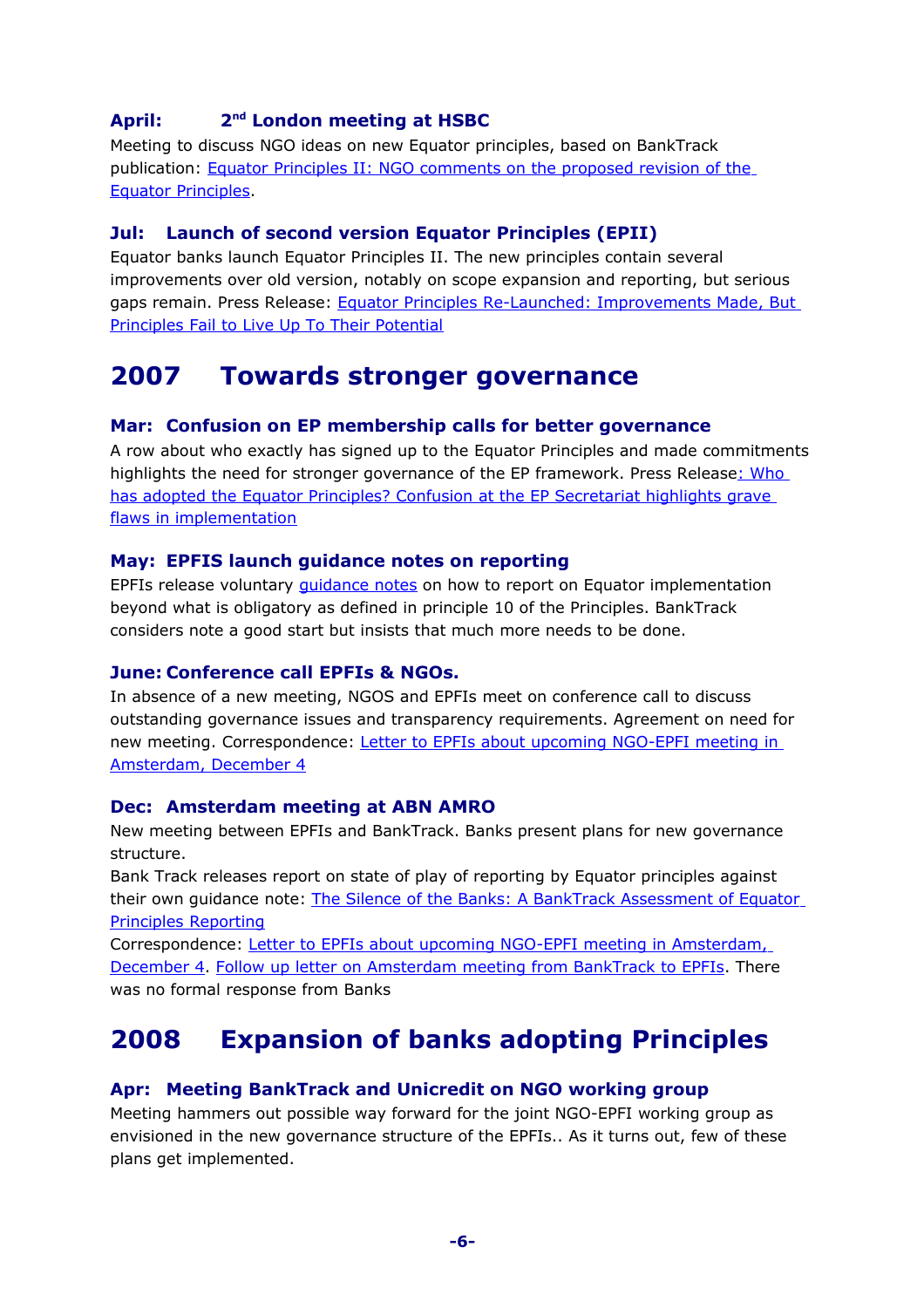#### <span id="page-5-8"></span>**April: 2** 2<sup>nd</sup> London meeting at HSBC

Meeting to discuss NGO ideas on new Equator principles, based on BankTrack publication: [Equator Principles II: NGO comments on the proposed revision of the](http://www.banktrack.org/download/equator_principles_ii_ngo_comments) [Equator Principles.](http://www.banktrack.org/download/equator_principles_ii_ngo_comments)

#### <span id="page-5-7"></span>**Jul: Launch of second version Equator Principles (EPII)**

Equator banks launch Equator Principles II. The new principles contain several improvements over old version, notably on scope expansion and reporting, but serious gaps remain. Press Release: [Equator Principles Re-Launched: Improvements Made, But](http://www.banktrack.org/download/equator_principles_re_launched_on_6_july_2006_1) [Principles Fail to Live Up To Their Potential](http://www.banktrack.org/download/equator_principles_re_launched_on_6_july_2006_1)

# <span id="page-5-6"></span>**2007 Towards stronger governance**

#### <span id="page-5-5"></span>**Mar: Confusion on EP membership calls for better governance**

A row about who exactly has signed up to the Equator Principles and made commitments highlights the need for stronger governance of the EP framework. Press Releas[e: Who](http://www.banktrack.org/show/news/who_has_adopted_the_equator_principles_) [has adopted the Equator Principles? Confusion at the EP Secretariat highlights grave](http://www.banktrack.org/show/news/who_has_adopted_the_equator_principles_) [flaws in implementation](http://www.banktrack.org/show/news/who_has_adopted_the_equator_principles_)

#### <span id="page-5-4"></span>**May: EPFIS launch guidance notes on reporting**

EPFIs release voluntary [guidance notes](http://www.equator-principles.com/documents/EPReporting_2007-06-12.pdf) on how to report on Equator implementation beyond what is obligatory as defined in principle 10 of the Principles. BankTrack considers note a good start but insists that much more needs to be done.

#### <span id="page-5-3"></span>**June: Conference call EPFIs & NGOs.**

In absence of a new meeting, NGOS and EPFIs meet on conference call to discuss outstanding governance issues and transparency requirements. Agreement on need for new meeting. Correspondence: [Letter to EPFIs about upcoming NGO-EPFI meeting in](http://www.banktrack.org/download/letter_to_epfis_on_agenda_amsterdam_mtg) [Amsterdam, December 4](http://www.banktrack.org/download/letter_to_epfis_on_agenda_amsterdam_mtg)

#### <span id="page-5-2"></span>**Dec: Amsterdam meeting at ABN AMRO**

New meeting between EPFIs and BankTrack. Banks present plans for new governance structure.

Bank Track releases report on state of play of reporting by Equator principles against their own guidance note: [The Silence of the Banks: A BankTrack Assessment of Equator](http://www.banktrack.org/download/the_silence_of_the_banks_1) [Principles Reporting](http://www.banktrack.org/download/the_silence_of_the_banks_1)

Correspondence: [Letter to EPFIs about upcoming NGO-EPFI meeting in Amsterdam,](http://www.banktrack.org/download/letter_to_epfis_on_agenda_amsterdam_mtg) [December 4.](http://www.banktrack.org/download/letter_to_epfis_on_agenda_amsterdam_mtg) [Follow up letter on Amsterdam meeting from BankTrack to EPFIs.](http://www.banktrack.org/download/follow_up_letter_to_epfis) There was no formal response from Banks

# <span id="page-5-1"></span>**2008 Expansion of banks adopting Principles**

#### <span id="page-5-0"></span>**Apr: Meeting BankTrack and Unicredit on NGO working group**

Meeting hammers out possible way forward for the joint NGO-EPFI working group as envisioned in the new governance structure of the EPFIs.. As it turns out, few of these plans get implemented.